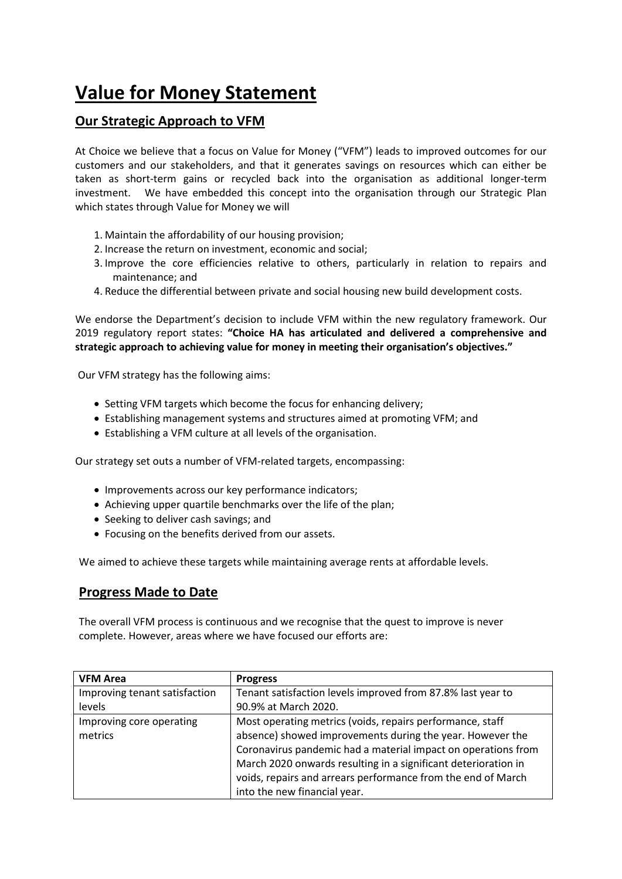# **Value for Money Statement**

## **Our Strategic Approach to VFM**

At Choice we believe that a focus on Value for Money ("VFM") leads to improved outcomes for our customers and our stakeholders, and that it generates savings on resources which can either be taken as short-term gains or recycled back into the organisation as additional longer-term investment. We have embedded this concept into the organisation through our Strategic Plan which states through Value for Money we will

- 1. Maintain the affordability of our housing provision;
- 2. Increase the return on investment, economic and social;
- 3. Improve the core efficiencies relative to others, particularly in relation to repairs and maintenance; and
- 4. Reduce the differential between private and social housing new build development costs.

We endorse the Department's decision to include VFM within the new regulatory framework. Our 2019 regulatory report states: **"Choice HA has articulated and delivered a comprehensive and strategic approach to achieving value for money in meeting their organisation's objectives."**

Our VFM strategy has the following aims:

- Setting VFM targets which become the focus for enhancing delivery;
- Establishing management systems and structures aimed at promoting VFM; and
- Establishing a VFM culture at all levels of the organisation.

Our strategy set outs a number of VFM-related targets, encompassing:

- Improvements across our key performance indicators;
- Achieving upper quartile benchmarks over the life of the plan;
- Seeking to deliver cash savings; and
- Focusing on the benefits derived from our assets.

We aimed to achieve these targets while maintaining average rents at affordable levels.

### **Progress Made to Date**

The overall VFM process is continuous and we recognise that the quest to improve is never complete. However, areas where we have focused our efforts are:

| <b>VFM Area</b>               | <b>Progress</b>                                                |
|-------------------------------|----------------------------------------------------------------|
| Improving tenant satisfaction | Tenant satisfaction levels improved from 87.8% last year to    |
| levels                        | 90.9% at March 2020.                                           |
| Improving core operating      | Most operating metrics (voids, repairs performance, staff      |
| metrics                       | absence) showed improvements during the year. However the      |
|                               | Coronavirus pandemic had a material impact on operations from  |
|                               | March 2020 onwards resulting in a significant deterioration in |
|                               | voids, repairs and arrears performance from the end of March   |
|                               | into the new financial year.                                   |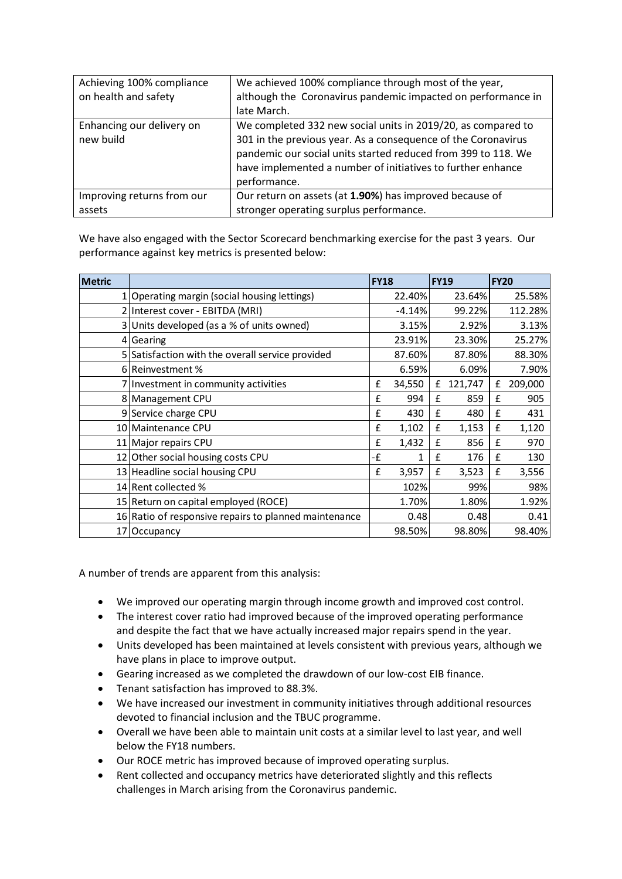| Achieving 100% compliance<br>on health and safety | We achieved 100% compliance through most of the year,<br>although the Coronavirus pandemic impacted on performance in<br>late March.                                                                                                                                          |
|---------------------------------------------------|-------------------------------------------------------------------------------------------------------------------------------------------------------------------------------------------------------------------------------------------------------------------------------|
| Enhancing our delivery on<br>new build            | We completed 332 new social units in 2019/20, as compared to<br>301 in the previous year. As a consequence of the Coronavirus<br>pandemic our social units started reduced from 399 to 118. We<br>have implemented a number of initiatives to further enhance<br>performance. |
| Improving returns from our<br>assets              | Our return on assets (at 1.90%) has improved because of<br>stronger operating surplus performance.                                                                                                                                                                            |

We have also engaged with the Sector Scorecard benchmarking exercise for the past 3 years. Our performance against key metrics is presented below:

| <b>Metric</b> |                                                       | <b>FY18</b> |          | <b>FY19</b> |         | <b>FY20</b> |         |  |
|---------------|-------------------------------------------------------|-------------|----------|-------------|---------|-------------|---------|--|
|               | 1   Operating margin (social housing lettings)        |             | 22.40%   |             | 23.64%  |             | 25.58%  |  |
|               | 2 Interest cover - EBITDA (MRI)                       |             | $-4.14%$ |             | 99.22%  |             | 112.28% |  |
|               | Units developed (as a % of units owned)               |             | 3.15%    |             | 2.92%   |             | 3.13%   |  |
| $\mathbf{4}$  | Gearing                                               |             | 23.91%   |             | 23.30%  |             | 25.27%  |  |
|               | 5 Satisfaction with the overall service provided      |             | 87.60%   |             | 87.80%  |             | 88.30%  |  |
|               | 6 Reinvestment %                                      |             | 6.59%    |             | 6.09%   |             | 7.90%   |  |
|               | 7   Investment in community activities                | £           | 34,550   | £           | 121,747 | £           | 209,000 |  |
|               | 8 Management CPU                                      | £           | 994      | f           | 859     | £           | 905     |  |
|               | 9 Service charge CPU                                  | £           | 430      | £           | 480     | £           | 431     |  |
|               | 10 Maintenance CPU                                    | £           | 1,102    | £           | 1,153   | £           | 1,120   |  |
|               | 11 Major repairs CPU                                  | £           | 1,432    | £           | 856     | £           | 970     |  |
|               | 12 Other social housing costs CPU                     | -£          | 1        | £           | 176     | £           | 130     |  |
|               | 13 Headline social housing CPU                        | £           | 3,957    | £           | 3,523   | £           | 3,556   |  |
|               | 14 Rent collected %                                   |             | 102%     |             | 99%     |             | 98%     |  |
|               | 15 Return on capital employed (ROCE)                  |             | 1.70%    |             | 1.80%   |             | 1.92%   |  |
|               | 16 Ratio of responsive repairs to planned maintenance |             | 0.48     |             | 0.48    |             | 0.41    |  |
|               | 17 Occupancy                                          |             | 98.50%   |             | 98.80%  |             | 98.40%  |  |

A number of trends are apparent from this analysis:

- We improved our operating margin through income growth and improved cost control.
- The interest cover ratio had improved because of the improved operating performance and despite the fact that we have actually increased major repairs spend in the year.
- Units developed has been maintained at levels consistent with previous years, although we have plans in place to improve output.
- Gearing increased as we completed the drawdown of our low-cost EIB finance.
- Tenant satisfaction has improved to 88.3%.
- We have increased our investment in community initiatives through additional resources devoted to financial inclusion and the TBUC programme.
- Overall we have been able to maintain unit costs at a similar level to last year, and well below the FY18 numbers.
- Our ROCE metric has improved because of improved operating surplus.
- Rent collected and occupancy metrics have deteriorated slightly and this reflects challenges in March arising from the Coronavirus pandemic.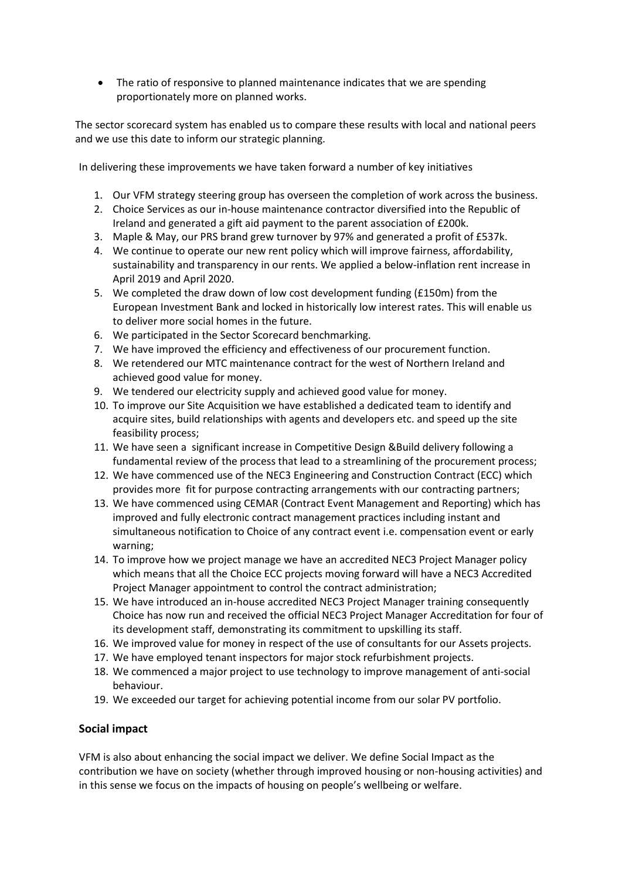• The ratio of responsive to planned maintenance indicates that we are spending proportionately more on planned works.

The sector scorecard system has enabled us to compare these results with local and national peers and we use this date to inform our strategic planning.

In delivering these improvements we have taken forward a number of key initiatives

- 1. Our VFM strategy steering group has overseen the completion of work across the business.
- 2. Choice Services as our in-house maintenance contractor diversified into the Republic of Ireland and generated a gift aid payment to the parent association of £200k.
- 3. Maple & May, our PRS brand grew turnover by 97% and generated a profit of £537k.
- 4. We continue to operate our new rent policy which will improve fairness, affordability, sustainability and transparency in our rents. We applied a below-inflation rent increase in April 2019 and April 2020.
- 5. We completed the draw down of low cost development funding (£150m) from the European Investment Bank and locked in historically low interest rates. This will enable us to deliver more social homes in the future.
- 6. We participated in the Sector Scorecard benchmarking.
- 7. We have improved the efficiency and effectiveness of our procurement function.
- 8. We retendered our MTC maintenance contract for the west of Northern Ireland and achieved good value for money.
- 9. We tendered our electricity supply and achieved good value for money.
- 10. To improve our Site Acquisition we have established a dedicated team to identify and acquire sites, build relationships with agents and developers etc. and speed up the site feasibility process;
- 11. We have seen a significant increase in Competitive Design &Build delivery following a fundamental review of the process that lead to a streamlining of the procurement process;
- 12. We have commenced use of the NEC3 Engineering and Construction Contract (ECC) which provides more fit for purpose contracting arrangements with our contracting partners;
- 13. We have commenced using CEMAR (Contract Event Management and Reporting) which has improved and fully electronic contract management practices including instant and simultaneous notification to Choice of any contract event i.e. compensation event or early warning;
- 14. To improve how we project manage we have an accredited NEC3 Project Manager policy which means that all the Choice ECC projects moving forward will have a NEC3 Accredited Project Manager appointment to control the contract administration;
- 15. We have introduced an in-house accredited NEC3 Project Manager training consequently Choice has now run and received the official NEC3 Project Manager Accreditation for four of its development staff, demonstrating its commitment to upskilling its staff.
- 16. We improved value for money in respect of the use of consultants for our Assets projects.
- 17. We have employed tenant inspectors for major stock refurbishment projects.
- 18. We commenced a major project to use technology to improve management of anti-social behaviour.
- 19. We exceeded our target for achieving potential income from our solar PV portfolio.

#### **Social impact**

VFM is also about enhancing the social impact we deliver. We define Social Impact as the contribution we have on society (whether through improved housing or non-housing activities) and in this sense we focus on the impacts of housing on people's wellbeing or welfare.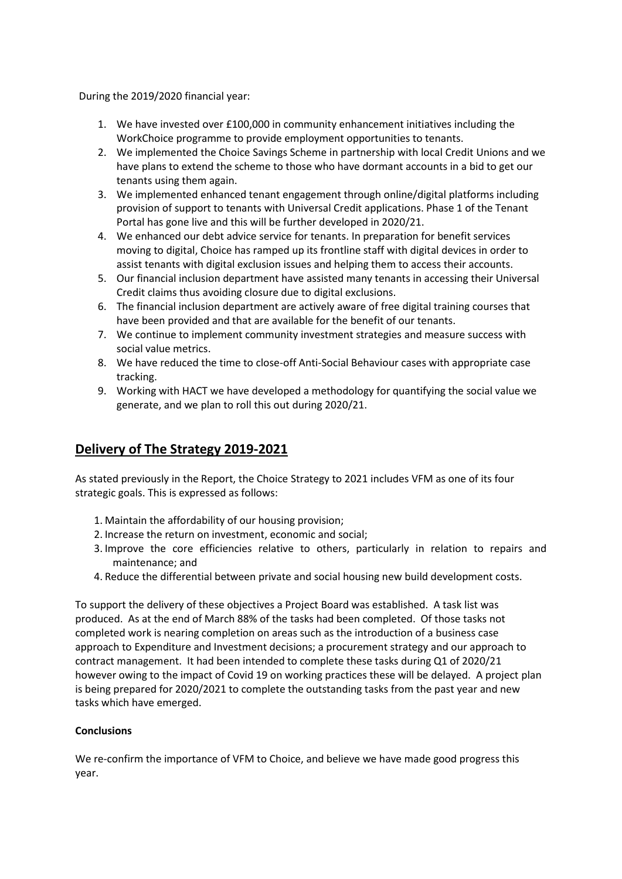During the 2019/2020 financial year:

- 1. We have invested over £100,000 in community enhancement initiatives including the WorkChoice programme to provide employment opportunities to tenants.
- 2. We implemented the Choice Savings Scheme in partnership with local Credit Unions and we have plans to extend the scheme to those who have dormant accounts in a bid to get our tenants using them again.
- 3. We implemented enhanced tenant engagement through online/digital platforms including provision of support to tenants with Universal Credit applications. Phase 1 of the Tenant Portal has gone live and this will be further developed in 2020/21.
- 4. We enhanced our debt advice service for tenants. In preparation for benefit services moving to digital, Choice has ramped up its frontline staff with digital devices in order to assist tenants with digital exclusion issues and helping them to access their accounts.
- 5. Our financial inclusion department have assisted many tenants in accessing their Universal Credit claims thus avoiding closure due to digital exclusions.
- 6. The financial inclusion department are actively aware of free digital training courses that have been provided and that are available for the benefit of our tenants.
- 7. We continue to implement community investment strategies and measure success with social value metrics.
- 8. We have reduced the time to close-off Anti-Social Behaviour cases with appropriate case tracking.
- 9. Working with HACT we have developed a methodology for quantifying the social value we generate, and we plan to roll this out during 2020/21.

## **Delivery of The Strategy 2019-2021**

As stated previously in the Report, the Choice Strategy to 2021 includes VFM as one of its four strategic goals. This is expressed as follows:

- 1. Maintain the affordability of our housing provision;
- 2. Increase the return on investment, economic and social;
- 3. Improve the core efficiencies relative to others, particularly in relation to repairs and maintenance; and
- 4. Reduce the differential between private and social housing new build development costs.

To support the delivery of these objectives a Project Board was established. A task list was produced. As at the end of March 88% of the tasks had been completed. Of those tasks not completed work is nearing completion on areas such as the introduction of a business case approach to Expenditure and Investment decisions; a procurement strategy and our approach to contract management. It had been intended to complete these tasks during Q1 of 2020/21 however owing to the impact of Covid 19 on working practices these will be delayed. A project plan is being prepared for 2020/2021 to complete the outstanding tasks from the past year and new tasks which have emerged.

#### **Conclusions**

We re-confirm the importance of VFM to Choice, and believe we have made good progress this year.